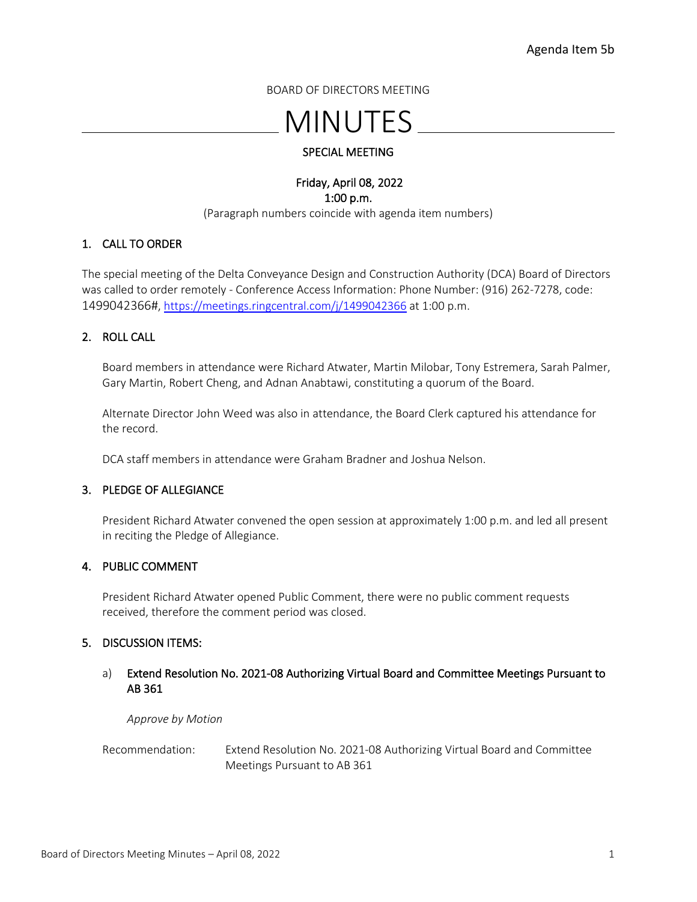BOARD OF DIRECTORS MEETING

# MINUTES

# SPECIAL MEETING

### Friday, April 08, 2022 1:00 p.m. (Paragraph numbers coincide with agenda item numbers)

# 1. CALL TO ORDER

The special meeting of the Delta Conveyance Design and Construction Authority (DCA) Board of Directors was called to order remotely - Conference Access Information: Phone Number: (916) 262-7278, code: 1499042366#, <https://meetings.ringcentral.com/j/1499042366> at 1:00 p.m.

# 2. ROLL CALL

Board members in attendance were Richard Atwater, Martin Milobar, Tony Estremera, Sarah Palmer, Gary Martin, Robert Cheng, and Adnan Anabtawi, constituting a quorum of the Board.

Alternate Director John Weed was also in attendance, the Board Clerk captured his attendance for the record.

DCA staff members in attendance were Graham Bradner and Joshua Nelson.

### 3. PLEDGE OF ALLEGIANCE

President Richard Atwater convened the open session at approximately 1:00 p.m. and led all present in reciting the Pledge of Allegiance.

### 4. PUBLIC COMMENT

President Richard Atwater opened Public Comment, there were no public comment requests received, therefore the comment period was closed.

#### 5. DISCUSSION ITEMS:

### a) Extend Resolution No. 2021-08 Authorizing Virtual Board and Committee Meetings Pursuant to AB 361

*Approve by Motion*

Recommendation: Extend Resolution No. 2021-08 Authorizing Virtual Board and Committee Meetings Pursuant to AB 361